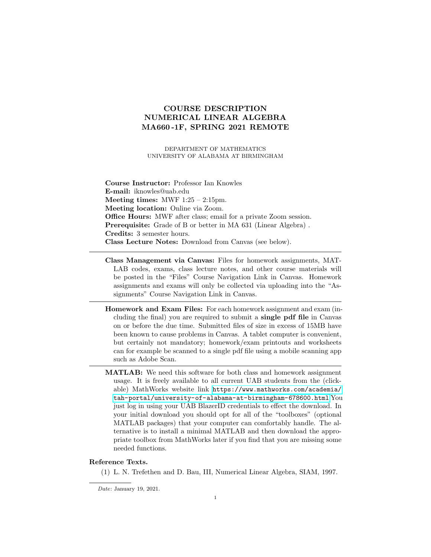# COURSE DESCRIPTION NUMERICAL LINEAR ALGEBRA MA660 -1F, SPRING 2021 REMOTE

DEPARTMENT OF MATHEMATICS UNIVERSITY OF ALABAMA AT BIRMINGHAM

Course Instructor: Professor Ian Knowles E-mail: iknowles@uab.edu Meeting times:  $MWF 1:25 - 2:15 \text{pm}$ . Meeting location: Online via Zoom. Office Hours: MWF after class; email for a private Zoom session. Prerequisite: Grade of B or better in MA 631 (Linear Algebra). Credits: 3 semester hours. Class Lecture Notes: Download from Canvas (see below).

- Class Management via Canvas: Files for homework assignments, MAT-LAB codes, exams, class lecture notes, and other course materials will be posted in the "Files" Course Navigation Link in Canvas. Homework assignments and exams will only be collected via uploading into the "Assignments" Course Navigation Link in Canvas.
- Homework and Exam Files: For each homework assignment and exam (including the final) you are required to submit a single pdf file in Canvas on or before the due time. Submitted files of size in excess of 15MB have been known to cause problems in Canvas. A tablet computer is convenient, but certainly not mandatory; homework/exam printouts and worksheets can for example be scanned to a single pdf file using a mobile scanning app such as Adobe Scan.
- MATLAB: We need this software for both class and homework assignment usage. It is freely available to all current UAB students from the (clickable) MathWorks website link [https://www.mathworks.com/academia/](https://www.mathworks.com/academia/tah-portal/university-of-alabama-at-birmingham-678600.html) [tah-portal/university-of-alabama-at-birmingham-678600.html](https://www.mathworks.com/academia/tah-portal/university-of-alabama-at-birmingham-678600.html) You just log in using your UAB BlazerID credentials to effect the download. In your initial download you should opt for all of the "toolboxes" (optional MATLAB packages) that your computer can comfortably handle. The alternative is to install a minimal MATLAB and then download the appropriate toolbox from MathWorks later if you find that you are missing some needed functions.

### Reference Texts.

(1) L. N. Trefethen and D. Bau, III, Numerical Linear Algebra, SIAM, 1997.

Date: January 19, 2021.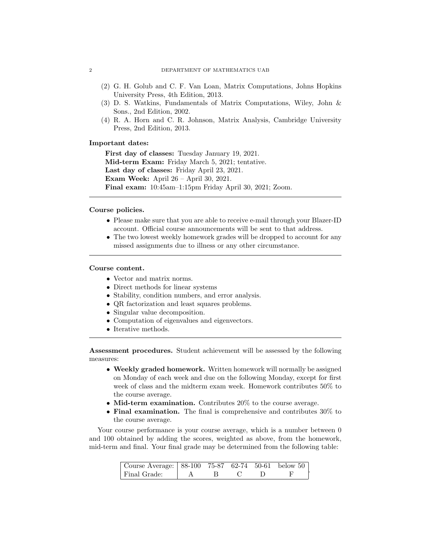- (2) G. H. Golub and C. F. Van Loan, Matrix Computations, Johns Hopkins University Press, 4th Edition, 2013.
- (3) D. S. Watkins, Fundamentals of Matrix Computations, Wiley, John & Sons., 2nd Edition, 2002.
- (4) R. A. Horn and C. R. Johnson, Matrix Analysis, Cambridge University Press, 2nd Edition, 2013.

## Important dates:

First day of classes: Tuesday January 19, 2021. Mid-term Exam: Friday March 5, 2021; tentative. Last day of classes: Friday April 23, 2021. Exam Week: April 26 – April 30, 2021. Final exam: 10:45am–1:15pm Friday April 30, 2021; Zoom.

## Course policies.

- Please make sure that you are able to receive e-mail through your Blazer-ID account. Official course announcements will be sent to that address.
- The two lowest weekly homework grades will be dropped to account for any missed assignments due to illness or any other circumstance.

#### Course content.

- Vector and matrix norms.
- Direct methods for linear systems
- Stability, condition numbers, and error analysis.
- QR factorization and least squares problems.
- Singular value decomposition.
- Computation of eigenvalues and eigenvectors.
- Iterative methods.

Assessment procedures. Student achievement will be assessed by the following measures:

- Weekly graded homework. Written homework will normally be assigned on Monday of each week and due on the following Monday, except for first week of class and the midterm exam week. Homework contributes 50% to the course average.
- Mid-term examination. Contributes 20% to the course average.
- Final examination. The final is comprehensive and contributes 30% to the course average.

Your course performance is your course average, which is a number between 0 and 100 obtained by adding the scores, weighted as above, from the homework, mid-term and final. Your final grade may be determined from the following table:

| Course Average:   88-100 75-87 62-74 50-61 below 50 |  |  |  |
|-----------------------------------------------------|--|--|--|
| Final Grade:                                        |  |  |  |